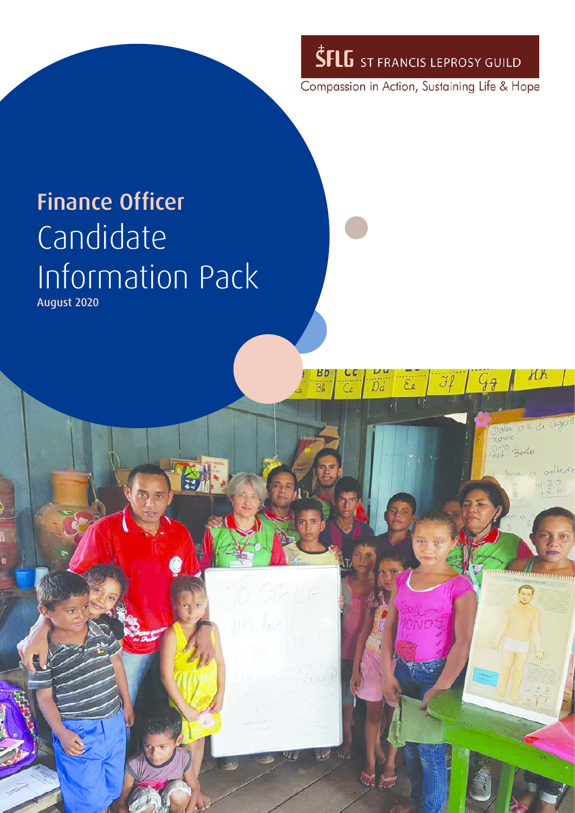**SFLG** ST FRANCIS LEPROSY GUILD

Compassion in Action, Sustaining Life & Hope

Kh

Data 08 de 0090

anto Bento

.<br>19

Bb

# Finance Officer Candidate Information Pack August 2020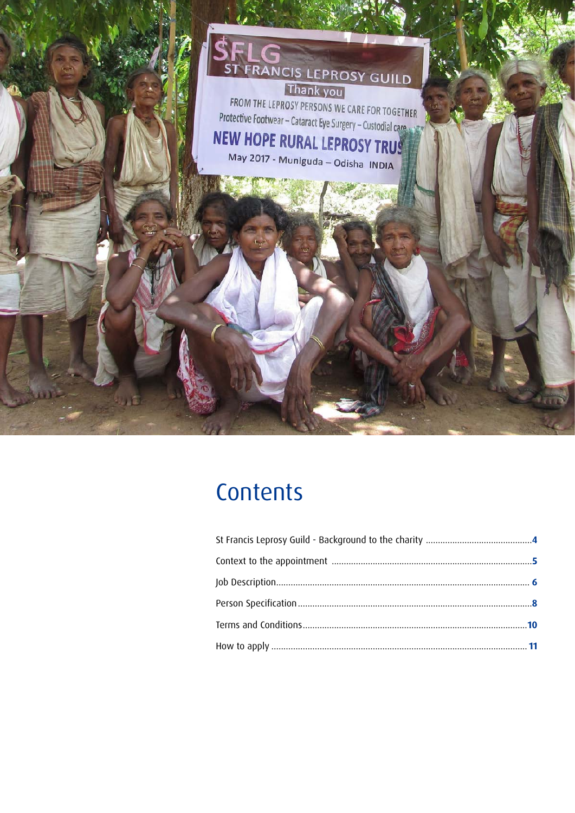

# Contents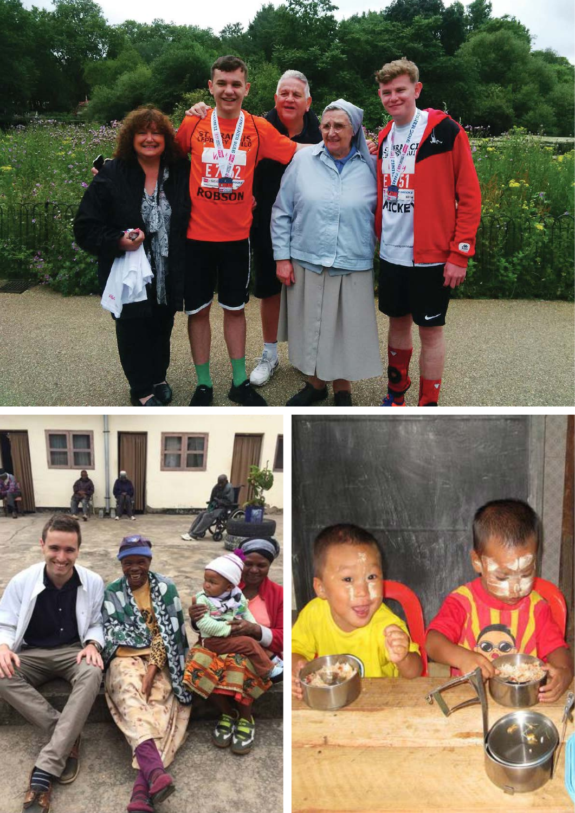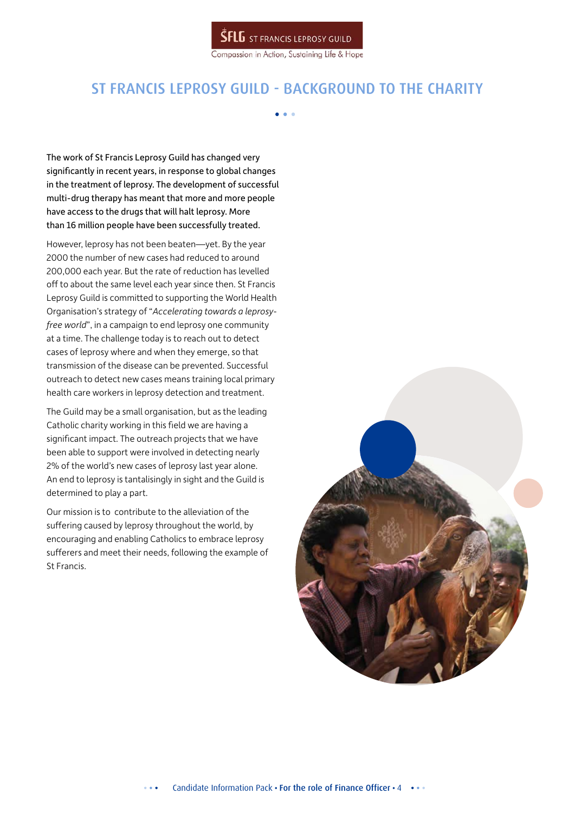### ST FRANCIS LEPROSY GUILD - BACKGROUND TO THE CHARITY

The work of St Francis Leprosy Guild has changed very significantly in recent years, in response to global changes in the treatment of leprosy. The development of successful multi-drug therapy has meant that more and more people have access to the drugs that will halt leprosy. More than 16 million people have been successfully treated.

However, leprosy has not been beaten—yet. By the year 2000 the number of new cases had reduced to around 200,000 each year. But the rate of reduction has levelled off to about the same level each year since then. St Francis Leprosy Guild is committed to supporting the World Health Organisation's strategy of "*Accelerating towards a leprosyfree world*", in a campaign to end leprosy one community at a time. The challenge today is to reach out to detect cases of leprosy where and when they emerge, so that transmission of the disease can be prevented. Successful outreach to detect new cases means training local primary health care workers in leprosy detection and treatment.

The Guild may be a small organisation, but as the leading Catholic charity working in this field we are having a significant impact. The outreach projects that we have been able to support were involved in detecting nearly 2% of the world's new cases of leprosy last year alone. An end to leprosy is tantalisingly in sight and the Guild is determined to play a part.

Our mission is to contribute to the alleviation of the suffering caused by leprosy throughout the world, by encouraging and enabling Catholics to embrace leprosy sufferers and meet their needs, following the example of St Francis.

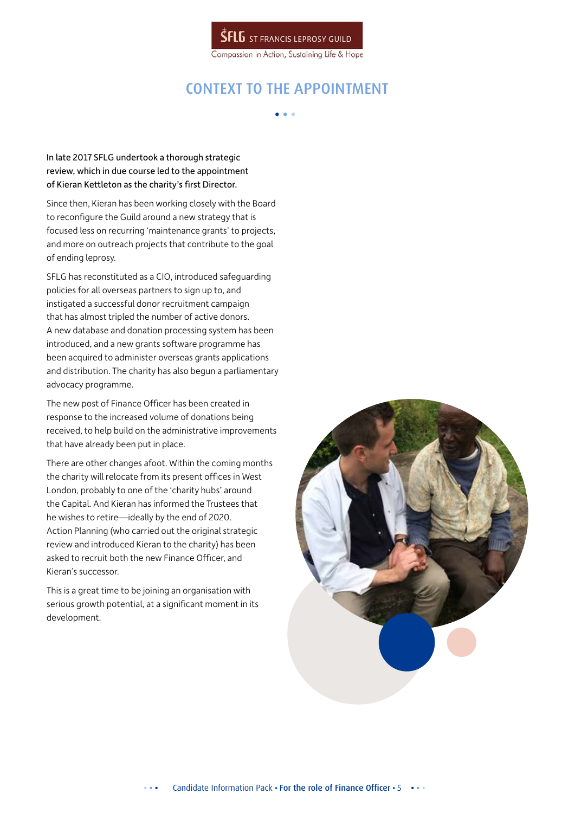### CONTEXT TO THE APPOINTMENT

In late 2017 SFLG undertook a thorough strategic review, which in due course led to the appointment of Kieran Kettleton as the charity's first Director.

Since then, Kieran has been working closely with the Board to reconfigure the Guild around a new strategy that is focused less on recurring 'maintenance grants' to projects, and more on outreach projects that contribute to the goal of ending leprosy.

SFLG has reconstituted as a CIO, introduced safeguarding policies for all overseas partners to sign up to, and instigated a successful donor recruitment campaign that has almost tripled the number of active donors. A new database and donation processing system has been introduced, and a new grants software programme has been acquired to administer overseas grants applications and distribution. The charity has also begun a parliamentary advocacy programme.

The new post of Finance Officer has been created in response to the increased volume of donations being received, to help build on the administrative improvements that have already been put in place.

There are other changes afoot. Within the coming months the charity will relocate from its present offices in West London, probably to one of the 'charity hubs' around the Capital. And Kieran has informed the Trustees that he wishes to retire—ideally by the end of 2020. Action Planning (who carried out the original strategic review and introduced Kieran to the charity) has been asked to recruit both the new Finance Officer, and Kieran's successor.

This is a great time to be joining an organisation with serious growth potential, at a significant moment in its development.

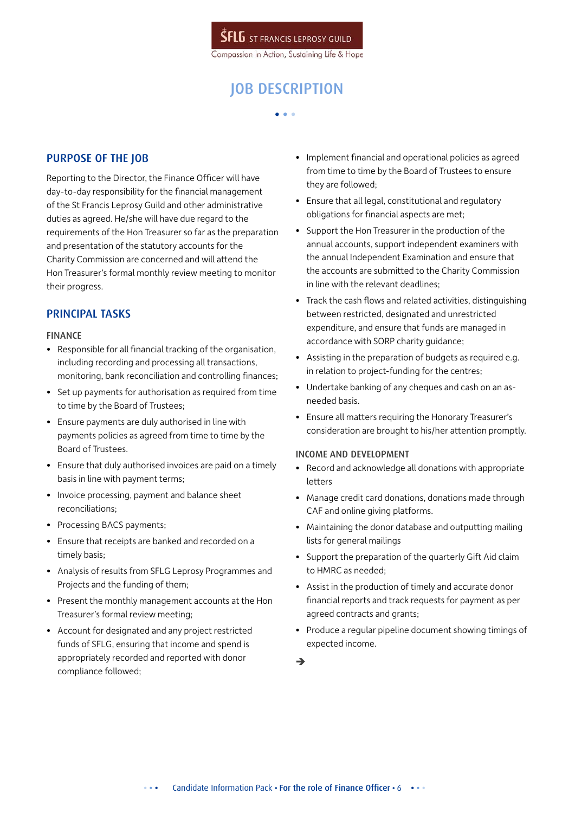## JOB DESCRIPTION

### PURPOSE OF THE JOB

Reporting to the Director, the Finance Officer will have day-to-day responsibility for the financial management of the St Francis Leprosy Guild and other administrative duties as agreed. He/she will have due regard to the requirements of the Hon Treasurer so far as the preparation and presentation of the statutory accounts for the Charity Commission are concerned and will attend the Hon Treasurer's formal monthly review meeting to monitor their progress.

### PRINCIPAL TASKS

#### FINANCE

- Responsible for all financial tracking of the organisation, including recording and processing all transactions, monitoring, bank reconciliation and controlling finances;
- Set up payments for authorisation as required from time to time by the Board of Trustees;
- Ensure payments are duly authorised in line with payments policies as agreed from time to time by the Board of Trustees.
- Ensure that duly authorised invoices are paid on a timely basis in line with payment terms;
- Invoice processing, payment and balance sheet reconciliations;
- Processing BACS payments;
- Ensure that receipts are banked and recorded on a timely basis;
- Analysis of results from SFLG Leprosy Programmes and Projects and the funding of them;
- Present the monthly management accounts at the Hon Treasurer's formal review meeting;
- Account for designated and any project restricted funds of SFLG, ensuring that income and spend is appropriately recorded and reported with donor compliance followed;
- Implement financial and operational policies as agreed from time to time by the Board of Trustees to ensure they are followed;
- Ensure that all legal, constitutional and regulatory obligations for financial aspects are met;
- Support the Hon Treasurer in the production of the annual accounts, support independent examiners with the annual Independent Examination and ensure that the accounts are submitted to the Charity Commission in line with the relevant deadlines;
- Track the cash flows and related activities, distinguishing between restricted, designated and unrestricted expenditure, and ensure that funds are managed in accordance with SORP charity guidance;
- Assisting in the preparation of budgets as required e.g. in relation to project-funding for the centres;
- Undertake banking of any cheques and cash on an asneeded basis.
- Ensure all matters requiring the Honorary Treasurer's consideration are brought to his/her attention promptly.

#### INCOME AND DEVELOPMENT

- Record and acknowledge all donations with appropriate letters
- Manage credit card donations, donations made through CAF and online giving platforms.
- Maintaining the donor database and outputting mailing lists for general mailings
- Support the preparation of the quarterly Gift Aid claim to HMRC as needed;
- Assist in the production of timely and accurate donor financial reports and track requests for payment as per agreed contracts and grants;
- Produce a regular pipeline document showing timings of expected income.
- $\rightarrow$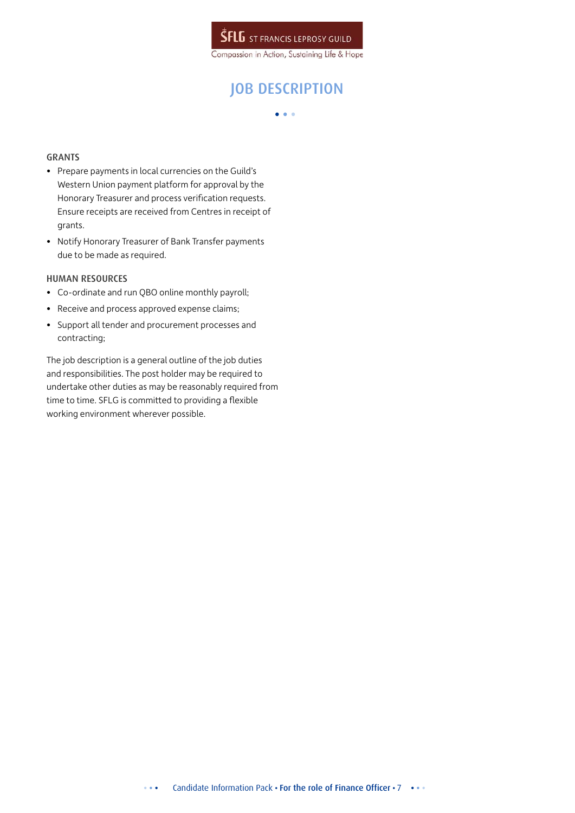## JOB DESCRIPTION

#### GRANTS

- Prepare payments in local currencies on the Guild's Western Union payment platform for approval by the Honorary Treasurer and process verification requests. Ensure receipts are received from Centres in receipt of grants.
- Notify Honorary Treasurer of Bank Transfer payments due to be made as required.

#### HUMAN RESOURCES

- Co-ordinate and run QBO online monthly payroll;
- Receive and process approved expense claims;
- Support all tender and procurement processes and contracting;

The job description is a general outline of the job duties and responsibilities. The post holder may be required to undertake other duties as may be reasonably required from time to time. SFLG is committed to providing a flexible working environment wherever possible.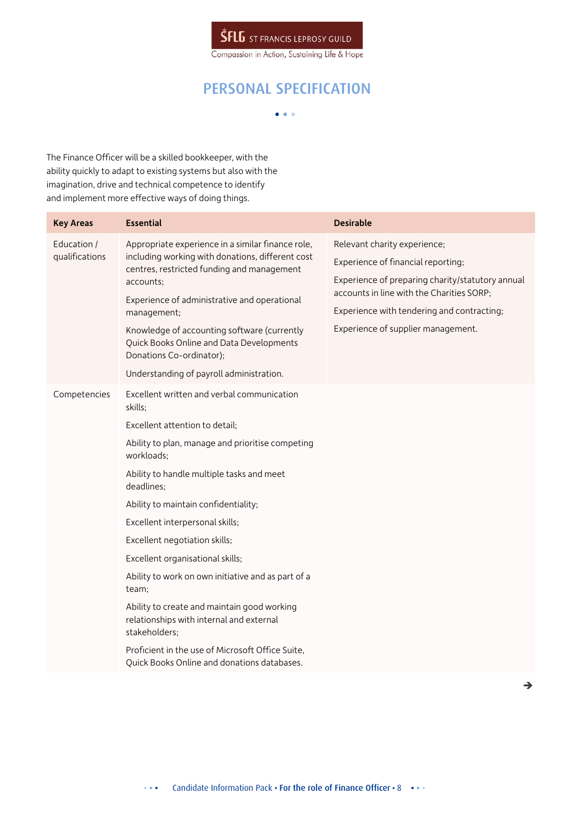### PERSONAL SPECIFICATION

 $\bullet$   $\bullet$   $\bullet$ 

The Finance Officer will be a skilled bookkeeper, with the ability quickly to adapt to existing systems but also with the imagination, drive and technical competence to identify and implement more effective ways of doing things.

| <b>Key Areas</b>              | <b>Essential</b>                                                                                                                                                                                                                | <b>Desirable</b>                                 |
|-------------------------------|---------------------------------------------------------------------------------------------------------------------------------------------------------------------------------------------------------------------------------|--------------------------------------------------|
| Education /<br>qualifications | Appropriate experience in a similar finance role,<br>including working with donations, different cost<br>centres, restricted funding and management<br>accounts:<br>Experience of administrative and operational<br>management; | Relevant charity experience;                     |
|                               |                                                                                                                                                                                                                                 | Experience of financial reporting;               |
|                               |                                                                                                                                                                                                                                 | Experience of preparing charity/statutory annual |
|                               |                                                                                                                                                                                                                                 | accounts in line with the Charities SORP;        |
|                               |                                                                                                                                                                                                                                 | Experience with tendering and contracting;       |
|                               | Knowledge of accounting software (currently<br>Quick Books Online and Data Developments<br>Donations Co-ordinator);                                                                                                             | Experience of supplier management.               |
|                               | Understanding of payroll administration.                                                                                                                                                                                        |                                                  |
| Competencies                  | Excellent written and verbal communication<br>skills;                                                                                                                                                                           |                                                  |
|                               | Excellent attention to detail;                                                                                                                                                                                                  |                                                  |
|                               | Ability to plan, manage and prioritise competing<br>workloads;                                                                                                                                                                  |                                                  |
|                               | Ability to handle multiple tasks and meet<br>deadlines;                                                                                                                                                                         |                                                  |
|                               | Ability to maintain confidentiality;                                                                                                                                                                                            |                                                  |
|                               | Excellent interpersonal skills;                                                                                                                                                                                                 |                                                  |
|                               | Excellent negotiation skills;                                                                                                                                                                                                   |                                                  |
|                               | Excellent organisational skills;                                                                                                                                                                                                |                                                  |
|                               | Ability to work on own initiative and as part of a<br>team;                                                                                                                                                                     |                                                  |
|                               | Ability to create and maintain good working<br>relationships with internal and external<br>stakeholders;                                                                                                                        |                                                  |
|                               | Proficient in the use of Microsoft Office Suite,<br>Quick Books Online and donations databases.                                                                                                                                 |                                                  |
|                               |                                                                                                                                                                                                                                 | →                                                |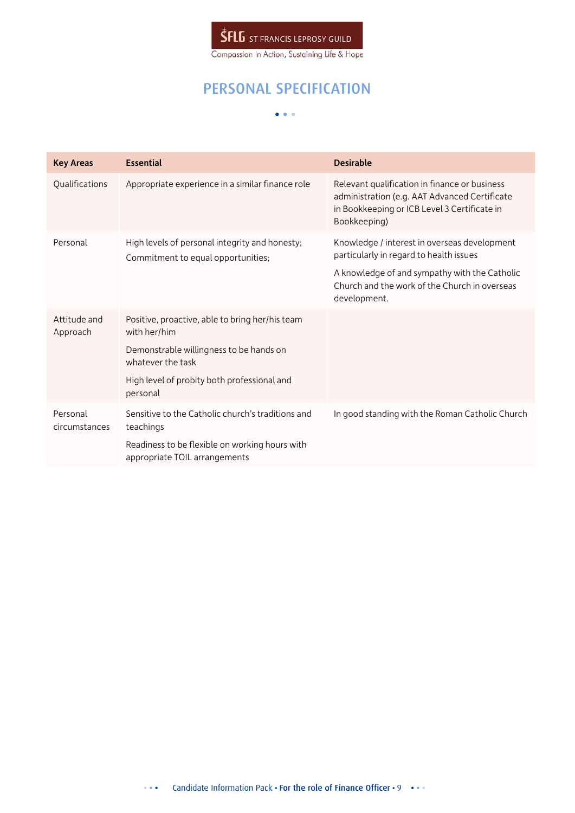

### PERSONAL SPECIFICATION

 $\bullet$   $\bullet$   $\bullet$ 

| <b>Key Areas</b>          | <b>Essential</b>                                                                     | <b>Desirable</b>                                                                                                                                               |
|---------------------------|--------------------------------------------------------------------------------------|----------------------------------------------------------------------------------------------------------------------------------------------------------------|
| Qualifications            | Appropriate experience in a similar finance role                                     | Relevant qualification in finance or business<br>administration (e.g. AAT Advanced Certificate<br>in Bookkeeping or ICB Level 3 Certificate in<br>Bookkeeping) |
| Personal                  | High levels of personal integrity and honesty;<br>Commitment to equal opportunities; | Knowledge / interest in overseas development<br>particularly in regard to health issues                                                                        |
|                           |                                                                                      | A knowledge of and sympathy with the Catholic<br>Church and the work of the Church in overseas<br>development.                                                 |
| Attitude and<br>Approach  | Positive, proactive, able to bring her/his team<br>with her/him                      |                                                                                                                                                                |
|                           | Demonstrable willingness to be hands on<br>whatever the task                         |                                                                                                                                                                |
|                           | High level of probity both professional and<br>personal                              |                                                                                                                                                                |
| Personal<br>circumstances | Sensitive to the Catholic church's traditions and<br>teachings                       | In good standing with the Roman Catholic Church                                                                                                                |
|                           | Readiness to be flexible on working hours with<br>appropriate TOIL arrangements      |                                                                                                                                                                |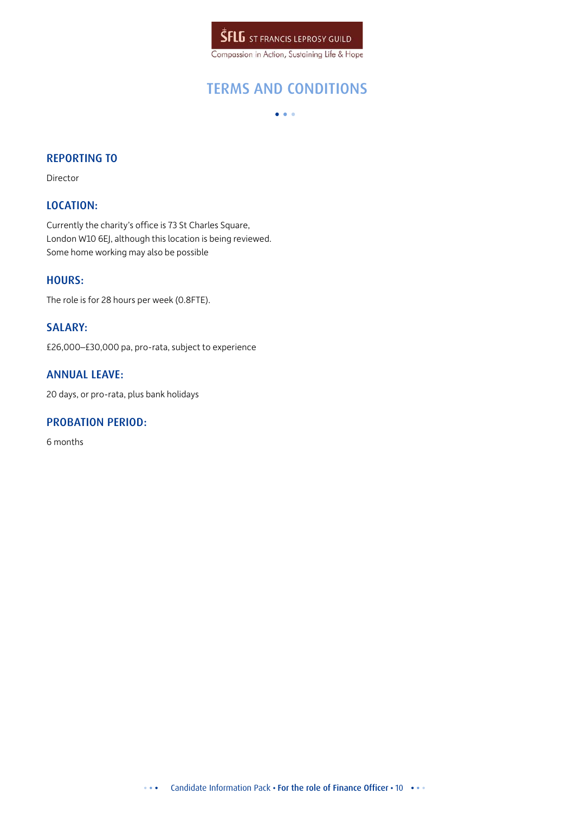

### TERMS AND CONDITIONS

 $\bullet$   $\bullet$   $\bullet$ 

### REPORTING TO

Director

### LOCATION:

Currently the charity's office is 73 St Charles Square, London W10 6EJ, although this location is being reviewed. Some home working may also be possible

### HOURS:

The role is for 28 hours per week (0.8FTE).

### SALARY:

£26,000–£30,000 pa, pro-rata, subject to experience

### ANNUAL LEAVE:

20 days, or pro-rata, plus bank holidays

### PROBATION PERIOD:

6 months